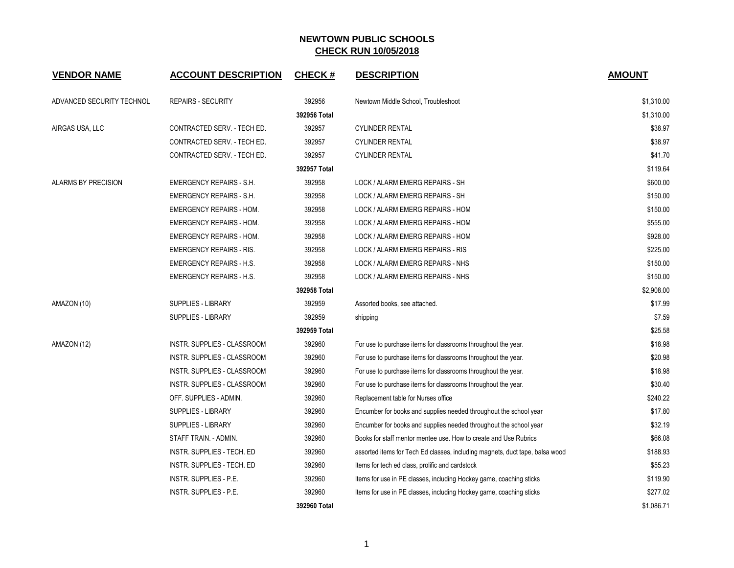| <b>VENDOR NAME</b>        | <b>ACCOUNT DESCRIPTION</b>         | <b>CHECK#</b> | <b>DESCRIPTION</b>                                                           | <b>AMOUNT</b> |
|---------------------------|------------------------------------|---------------|------------------------------------------------------------------------------|---------------|
| ADVANCED SECURITY TECHNOL | <b>REPAIRS - SECURITY</b>          | 392956        | Newtown Middle School, Troubleshoot                                          | \$1,310.00    |
|                           |                                    | 392956 Total  |                                                                              | \$1,310.00    |
| AIRGAS USA, LLC           | CONTRACTED SERV. - TECH ED.        | 392957        | <b>CYLINDER RENTAL</b>                                                       | \$38.97       |
|                           | CONTRACTED SERV. - TECH ED.        | 392957        | <b>CYLINDER RENTAL</b>                                                       | \$38.97       |
|                           | CONTRACTED SERV. - TECH ED.        | 392957        | <b>CYLINDER RENTAL</b>                                                       | \$41.70       |
|                           |                                    | 392957 Total  |                                                                              | \$119.64      |
| ALARMS BY PRECISION       | <b>EMERGENCY REPAIRS - S.H.</b>    | 392958        | LOCK / ALARM EMERG REPAIRS - SH                                              | \$600.00      |
|                           | <b>EMERGENCY REPAIRS - S.H.</b>    | 392958        | LOCK / ALARM EMERG REPAIRS - SH                                              | \$150.00      |
|                           | <b>EMERGENCY REPAIRS - HOM.</b>    | 392958        | LOCK / ALARM EMERG REPAIRS - HOM                                             | \$150.00      |
|                           | <b>EMERGENCY REPAIRS - HOM.</b>    | 392958        | LOCK / ALARM EMERG REPAIRS - HOM                                             | \$555.00      |
|                           | <b>EMERGENCY REPAIRS - HOM.</b>    | 392958        | LOCK / ALARM EMERG REPAIRS - HOM                                             | \$928.00      |
|                           | <b>EMERGENCY REPAIRS - RIS.</b>    | 392958        | LOCK / ALARM EMERG REPAIRS - RIS                                             | \$225.00      |
|                           | <b>EMERGENCY REPAIRS - H.S.</b>    | 392958        | LOCK / ALARM EMERG REPAIRS - NHS                                             | \$150.00      |
|                           | <b>EMERGENCY REPAIRS - H.S.</b>    | 392958        | LOCK / ALARM EMERG REPAIRS - NHS                                             | \$150.00      |
|                           |                                    | 392958 Total  |                                                                              | \$2,908.00    |
| AMAZON (10)               | <b>SUPPLIES - LIBRARY</b>          | 392959        | Assorted books, see attached.                                                | \$17.99       |
|                           | <b>SUPPLIES - LIBRARY</b>          | 392959        | shipping                                                                     | \$7.59        |
|                           |                                    | 392959 Total  |                                                                              | \$25.58       |
| AMAZON (12)               | <b>INSTR. SUPPLIES - CLASSROOM</b> | 392960        | For use to purchase items for classrooms throughout the year.                | \$18.98       |
|                           | INSTR. SUPPLIES - CLASSROOM        | 392960        | For use to purchase items for classrooms throughout the year.                | \$20.98       |
|                           | INSTR. SUPPLIES - CLASSROOM        | 392960        | For use to purchase items for classrooms throughout the year.                | \$18.98       |
|                           | INSTR. SUPPLIES - CLASSROOM        | 392960        | For use to purchase items for classrooms throughout the year.                | \$30.40       |
|                           | OFF. SUPPLIES - ADMIN.             | 392960        | Replacement table for Nurses office                                          | \$240.22      |
|                           | <b>SUPPLIES - LIBRARY</b>          | 392960        | Encumber for books and supplies needed throughout the school year            | \$17.80       |
|                           | <b>SUPPLIES - LIBRARY</b>          | 392960        | Encumber for books and supplies needed throughout the school year            | \$32.19       |
|                           | STAFF TRAIN. - ADMIN.              | 392960        | Books for staff mentor mentee use. How to create and Use Rubrics             | \$66.08       |
|                           | INSTR. SUPPLIES - TECH. ED         | 392960        | assorted items for Tech Ed classes, including magnets, duct tape, balsa wood | \$188.93      |
|                           | INSTR. SUPPLIES - TECH. ED         | 392960        | Items for tech ed class, prolific and cardstock                              | \$55.23       |
|                           | INSTR. SUPPLIES - P.E.             | 392960        | Items for use in PE classes, including Hockey game, coaching sticks          | \$119.90      |
|                           | <b>INSTR. SUPPLIES - P.E.</b>      | 392960        | Items for use in PE classes, including Hockey game, coaching sticks          | \$277.02      |
|                           |                                    | 392960 Total  |                                                                              | \$1,086.71    |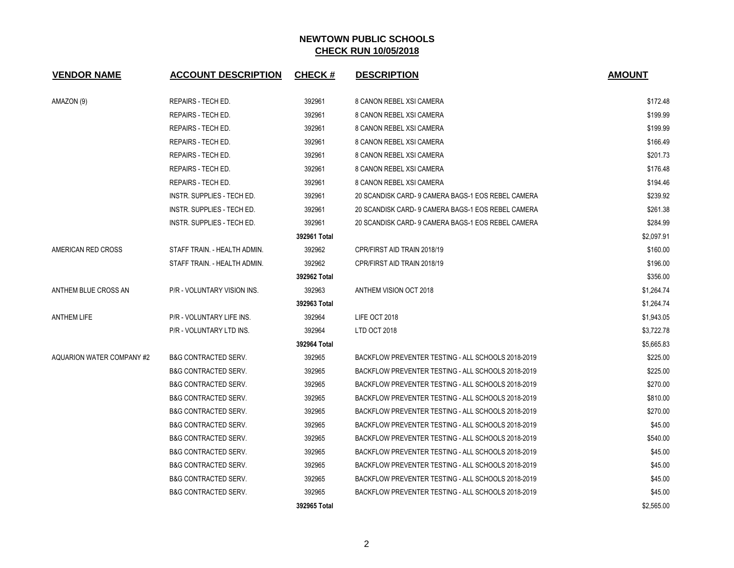| <b>VENDOR NAME</b>        | <b>ACCOUNT DESCRIPTION</b>      | <b>CHECK#</b> | <b>DESCRIPTION</b>                                 | <b>AMOUNT</b> |
|---------------------------|---------------------------------|---------------|----------------------------------------------------|---------------|
| AMAZON (9)                | REPAIRS - TECH ED.              | 392961        | 8 CANON REBEL XSI CAMERA                           | \$172.48      |
|                           | <b>REPAIRS - TECH ED.</b>       | 392961        | 8 CANON REBEL XSI CAMERA                           | \$199.99      |
|                           | REPAIRS - TECH ED.              | 392961        | 8 CANON REBEL XSI CAMERA                           | \$199.99      |
|                           | <b>REPAIRS - TECH ED.</b>       | 392961        | 8 CANON REBEL XSI CAMERA                           | \$166.49      |
|                           | <b>REPAIRS - TECH ED.</b>       | 392961        | 8 CANON REBEL XSI CAMERA                           | \$201.73      |
|                           | REPAIRS - TECH ED.              | 392961        | 8 CANON REBEL XSI CAMERA                           | \$176.48      |
|                           | REPAIRS - TECH ED.              | 392961        | 8 CANON REBEL XSI CAMERA                           | \$194.46      |
|                           | INSTR. SUPPLIES - TECH ED.      | 392961        | 20 SCANDISK CARD- 9 CAMERA BAGS-1 EOS REBEL CAMERA | \$239.92      |
|                           | INSTR. SUPPLIES - TECH ED.      | 392961        | 20 SCANDISK CARD- 9 CAMERA BAGS-1 EOS REBEL CAMERA | \$261.38      |
|                           | INSTR. SUPPLIES - TECH ED.      | 392961        | 20 SCANDISK CARD- 9 CAMERA BAGS-1 EOS REBEL CAMERA | \$284.99      |
|                           |                                 | 392961 Total  |                                                    | \$2,097.91    |
| AMERICAN RED CROSS        | STAFF TRAIN. - HEALTH ADMIN.    | 392962        | CPR/FIRST AID TRAIN 2018/19                        | \$160.00      |
|                           | STAFF TRAIN. - HEALTH ADMIN.    | 392962        | CPR/FIRST AID TRAIN 2018/19                        | \$196.00      |
|                           |                                 | 392962 Total  |                                                    | \$356.00      |
| ANTHEM BLUE CROSS AN      | P/R - VOLUNTARY VISION INS.     | 392963        | <b>ANTHEM VISION OCT 2018</b>                      | \$1,264.74    |
|                           |                                 | 392963 Total  |                                                    | \$1,264.74    |
| <b>ANTHEM LIFE</b>        | P/R - VOLUNTARY LIFE INS.       | 392964        | LIFE OCT 2018                                      | \$1,943.05    |
|                           | P/R - VOLUNTARY LTD INS.        | 392964        | LTD OCT 2018                                       | \$3,722.78    |
|                           |                                 | 392964 Total  |                                                    | \$5.665.83    |
| AQUARION WATER COMPANY #2 | <b>B&amp;G CONTRACTED SERV.</b> | 392965        | BACKFLOW PREVENTER TESTING - ALL SCHOOLS 2018-2019 | \$225.00      |
|                           | <b>B&amp;G CONTRACTED SERV.</b> | 392965        | BACKFLOW PREVENTER TESTING - ALL SCHOOLS 2018-2019 | \$225.00      |
|                           | <b>B&amp;G CONTRACTED SERV.</b> | 392965        | BACKFLOW PREVENTER TESTING - ALL SCHOOLS 2018-2019 | \$270.00      |
|                           | <b>B&amp;G CONTRACTED SERV.</b> | 392965        | BACKFLOW PREVENTER TESTING - ALL SCHOOLS 2018-2019 | \$810.00      |
|                           | <b>B&amp;G CONTRACTED SERV.</b> | 392965        | BACKFLOW PREVENTER TESTING - ALL SCHOOLS 2018-2019 | \$270.00      |
|                           | <b>B&amp;G CONTRACTED SERV.</b> | 392965        | BACKFLOW PREVENTER TESTING - ALL SCHOOLS 2018-2019 | \$45.00       |
|                           | <b>B&amp;G CONTRACTED SERV.</b> | 392965        | BACKFLOW PREVENTER TESTING - ALL SCHOOLS 2018-2019 | \$540.00      |
|                           | <b>B&amp;G CONTRACTED SERV.</b> | 392965        | BACKFLOW PREVENTER TESTING - ALL SCHOOLS 2018-2019 | \$45.00       |
|                           | <b>B&amp;G CONTRACTED SERV.</b> | 392965        | BACKFLOW PREVENTER TESTING - ALL SCHOOLS 2018-2019 | \$45.00       |
|                           | <b>B&amp;G CONTRACTED SERV.</b> | 392965        | BACKFLOW PREVENTER TESTING - ALL SCHOOLS 2018-2019 | \$45.00       |
|                           | <b>B&amp;G CONTRACTED SERV.</b> | 392965        | BACKFLOW PREVENTER TESTING - ALL SCHOOLS 2018-2019 | \$45.00       |
|                           |                                 | 392965 Total  |                                                    | \$2,565.00    |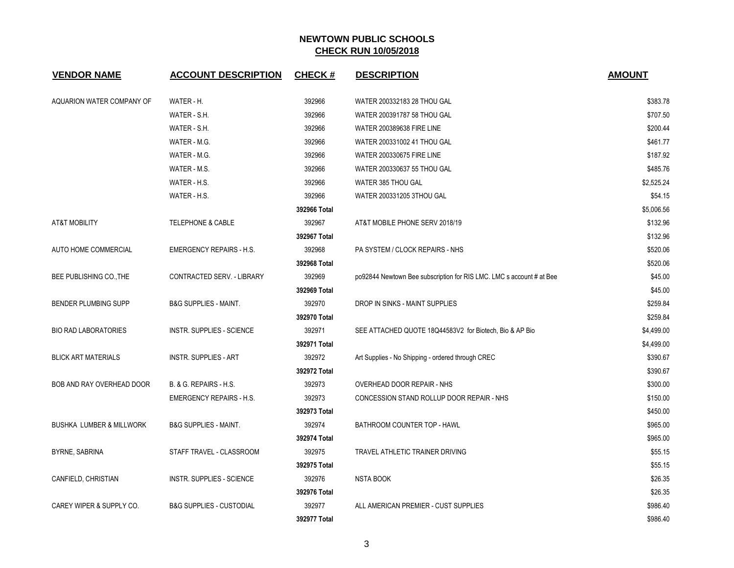| <b>VENDOR NAME</b>                  | <b>ACCOUNT DESCRIPTION</b>          | <b>CHECK#</b> | <b>DESCRIPTION</b>                                                   | <b>AMOUNT</b> |
|-------------------------------------|-------------------------------------|---------------|----------------------------------------------------------------------|---------------|
| AQUARION WATER COMPANY OF           | WATER - H.                          | 392966        | WATER 200332183 28 THOU GAL                                          | \$383.78      |
|                                     | WATER - S.H.                        | 392966        | WATER 200391787 58 THOU GAL                                          | \$707.50      |
|                                     | WATER - S.H.                        | 392966        | <b>WATER 200389638 FIRE LINE</b>                                     | \$200.44      |
|                                     | WATER - M.G.                        | 392966        | WATER 200331002 41 THOU GAL                                          | \$461.77      |
|                                     | WATER - M.G.                        | 392966        | WATER 200330675 FIRE LINE                                            | \$187.92      |
|                                     | WATER - M.S.                        | 392966        | WATER 200330637 55 THOU GAL                                          | \$485.76      |
|                                     | WATER - H.S.                        | 392966        | WATER 385 THOU GAL                                                   | \$2.525.24    |
|                                     | WATER - H.S.                        | 392966        | WATER 200331205 3THOU GAL                                            | \$54.15       |
|                                     |                                     | 392966 Total  |                                                                      | \$5,006.56    |
| <b>AT&amp;T MOBILITY</b>            | <b>TELEPHONE &amp; CABLE</b>        | 392967        | AT&T MOBILE PHONE SERV 2018/19                                       | \$132.96      |
|                                     |                                     | 392967 Total  |                                                                      | \$132.96      |
| AUTO HOME COMMERCIAL                | <b>EMERGENCY REPAIRS - H.S.</b>     | 392968        | PA SYSTEM / CLOCK REPAIRS - NHS                                      | \$520.06      |
|                                     |                                     | 392968 Total  |                                                                      | \$520.06      |
| BEE PUBLISHING CO., THE             | CONTRACTED SERV. - LIBRARY          | 392969        | po92844 Newtown Bee subscription for RIS LMC. LMC s account # at Bee | \$45.00       |
|                                     |                                     | 392969 Total  |                                                                      | \$45.00       |
| <b>BENDER PLUMBING SUPP</b>         | <b>B&amp;G SUPPLIES - MAINT.</b>    | 392970        | DROP IN SINKS - MAINT SUPPLIES                                       | \$259.84      |
|                                     |                                     | 392970 Total  |                                                                      | \$259.84      |
| <b>BIO RAD LABORATORIES</b>         | <b>INSTR. SUPPLIES - SCIENCE</b>    | 392971        | SEE ATTACHED QUOTE 18Q44583V2 for Biotech, Bio & AP Bio              | \$4,499.00    |
|                                     |                                     | 392971 Total  |                                                                      | \$4,499.00    |
| <b>BLICK ART MATERIALS</b>          | <b>INSTR. SUPPLIES - ART</b>        | 392972        | Art Supplies - No Shipping - ordered through CREC                    | \$390.67      |
|                                     |                                     | 392972 Total  |                                                                      | \$390.67      |
| BOB AND RAY OVERHEAD DOOR           | B. & G. REPAIRS - H.S.              | 392973        | OVERHEAD DOOR REPAIR - NHS                                           | \$300.00      |
|                                     | <b>EMERGENCY REPAIRS - H.S.</b>     | 392973        | CONCESSION STAND ROLLUP DOOR REPAIR - NHS                            | \$150.00      |
|                                     |                                     | 392973 Total  |                                                                      | \$450.00      |
| <b>BUSHKA LUMBER &amp; MILLWORK</b> | <b>B&amp;G SUPPLIES - MAINT.</b>    | 392974        | BATHROOM COUNTER TOP - HAWL                                          | \$965.00      |
|                                     |                                     | 392974 Total  |                                                                      | \$965.00      |
| BYRNE, SABRINA                      | STAFF TRAVEL - CLASSROOM            | 392975        | TRAVEL ATHLETIC TRAINER DRIVING                                      | \$55.15       |
|                                     |                                     | 392975 Total  |                                                                      | \$55.15       |
| CANFIELD, CHRISTIAN                 | <b>INSTR. SUPPLIES - SCIENCE</b>    | 392976        | <b>NSTA BOOK</b>                                                     | \$26.35       |
|                                     |                                     | 392976 Total  |                                                                      | \$26.35       |
| CAREY WIPER & SUPPLY CO.            | <b>B&amp;G SUPPLIES - CUSTODIAL</b> | 392977        | ALL AMERICAN PREMIER - CUST SUPPLIES                                 | \$986.40      |
|                                     |                                     | 392977 Total  |                                                                      | \$986.40      |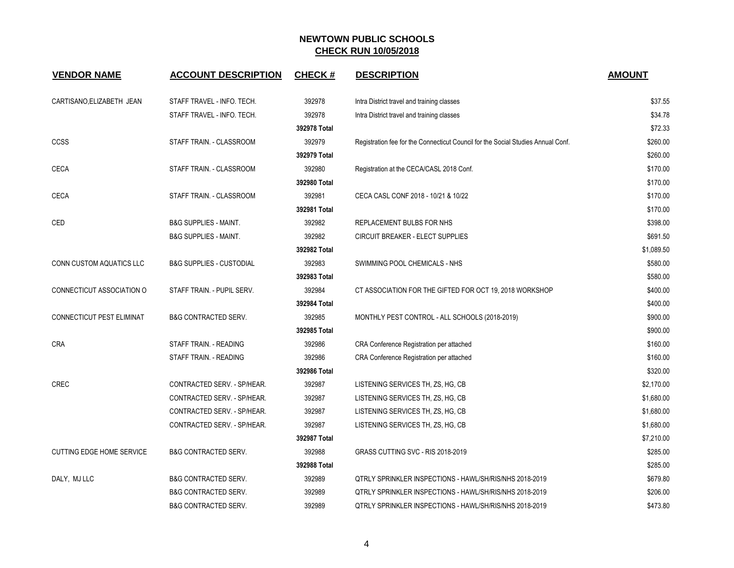| <b>VENDOR NAME</b>               | <b>ACCOUNT DESCRIPTION</b>          | <b>CHECK#</b> | <b>DESCRIPTION</b>                                                               | <b>AMOUNT</b> |
|----------------------------------|-------------------------------------|---------------|----------------------------------------------------------------------------------|---------------|
| CARTISANO, ELIZABETH JEAN        | STAFF TRAVEL - INFO. TECH.          | 392978        | Intra District travel and training classes                                       | \$37.55       |
|                                  | STAFF TRAVEL - INFO. TECH.          | 392978        | Intra District travel and training classes                                       | \$34.78       |
|                                  |                                     | 392978 Total  |                                                                                  | \$72.33       |
| <b>CCSS</b>                      | STAFF TRAIN. - CLASSROOM            | 392979        | Registration fee for the Connecticut Council for the Social Studies Annual Conf. | \$260.00      |
|                                  |                                     | 392979 Total  |                                                                                  | \$260.00      |
| <b>CECA</b>                      | STAFF TRAIN. - CLASSROOM            | 392980        | Registration at the CECA/CASL 2018 Conf.                                         | \$170.00      |
|                                  |                                     | 392980 Total  |                                                                                  | \$170.00      |
| <b>CECA</b>                      | STAFF TRAIN. - CLASSROOM            | 392981        | CECA CASL CONF 2018 - 10/21 & 10/22                                              | \$170.00      |
|                                  |                                     | 392981 Total  |                                                                                  | \$170.00      |
| <b>CED</b>                       | <b>B&amp;G SUPPLIES - MAINT.</b>    | 392982        | REPLACEMENT BULBS FOR NHS                                                        | \$398.00      |
|                                  | <b>B&amp;G SUPPLIES - MAINT.</b>    | 392982        | CIRCUIT BREAKER - ELECT SUPPLIES                                                 | \$691.50      |
|                                  |                                     | 392982 Total  |                                                                                  | \$1,089.50    |
| CONN CUSTOM AQUATICS LLC         | <b>B&amp;G SUPPLIES - CUSTODIAL</b> | 392983        | SWIMMING POOL CHEMICALS - NHS                                                    | \$580.00      |
|                                  |                                     | 392983 Total  |                                                                                  | \$580.00      |
| CONNECTICUT ASSOCIATION O        | STAFF TRAIN. - PUPIL SERV.          | 392984        | CT ASSOCIATION FOR THE GIFTED FOR OCT 19, 2018 WORKSHOP                          | \$400.00      |
|                                  |                                     | 392984 Total  |                                                                                  | \$400.00      |
| CONNECTICUT PEST ELIMINAT        | <b>B&amp;G CONTRACTED SERV.</b>     | 392985        | MONTHLY PEST CONTROL - ALL SCHOOLS (2018-2019)                                   | \$900.00      |
|                                  |                                     | 392985 Total  |                                                                                  | \$900.00      |
| <b>CRA</b>                       | STAFF TRAIN. - READING              | 392986        | CRA Conference Registration per attached                                         | \$160.00      |
|                                  | STAFF TRAIN. - READING              | 392986        | CRA Conference Registration per attached                                         | \$160.00      |
|                                  |                                     | 392986 Total  |                                                                                  | \$320.00      |
| CREC                             | CONTRACTED SERV. - SP/HEAR.         | 392987        | LISTENING SERVICES TH, ZS, HG, CB                                                | \$2,170.00    |
|                                  | CONTRACTED SERV. - SP/HEAR.         | 392987        | LISTENING SERVICES TH, ZS, HG, CB                                                | \$1,680.00    |
|                                  | CONTRACTED SERV. - SP/HEAR.         | 392987        | LISTENING SERVICES TH, ZS, HG, CB                                                | \$1,680.00    |
|                                  | CONTRACTED SERV. - SP/HEAR.         | 392987        | LISTENING SERVICES TH, ZS, HG, CB                                                | \$1,680.00    |
|                                  |                                     | 392987 Total  |                                                                                  | \$7,210.00    |
| <b>CUTTING EDGE HOME SERVICE</b> | <b>B&amp;G CONTRACTED SERV.</b>     | 392988        | GRASS CUTTING SVC - RIS 2018-2019                                                | \$285.00      |
|                                  |                                     | 392988 Total  |                                                                                  | \$285.00      |
| DALY, MJ LLC                     | <b>B&amp;G CONTRACTED SERV.</b>     | 392989        | QTRLY SPRINKLER INSPECTIONS - HAWL/SH/RIS/NHS 2018-2019                          | \$679.80      |
|                                  | <b>B&amp;G CONTRACTED SERV.</b>     | 392989        | QTRLY SPRINKLER INSPECTIONS - HAWL/SH/RIS/NHS 2018-2019                          | \$206.00      |
|                                  | <b>B&amp;G CONTRACTED SERV.</b>     | 392989        | QTRLY SPRINKLER INSPECTIONS - HAWL/SH/RIS/NHS 2018-2019                          | \$473.80      |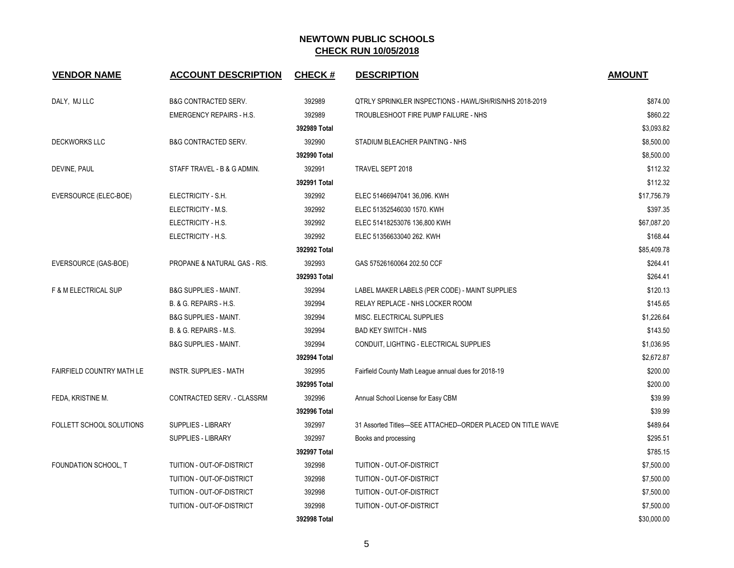| <b>VENDOR NAME</b>        | <b>ACCOUNT DESCRIPTION</b>       | <b>CHECK#</b> | <b>DESCRIPTION</b>                                            | <b>AMOUNT</b> |
|---------------------------|----------------------------------|---------------|---------------------------------------------------------------|---------------|
| DALY, MJ LLC              | <b>B&amp;G CONTRACTED SERV.</b>  | 392989        | QTRLY SPRINKLER INSPECTIONS - HAWL/SH/RIS/NHS 2018-2019       | \$874.00      |
|                           | <b>EMERGENCY REPAIRS - H.S.</b>  | 392989        | TROUBLESHOOT FIRE PUMP FAILURE - NHS                          | \$860.22      |
|                           |                                  | 392989 Total  |                                                               | \$3,093.82    |
| <b>DECKWORKS LLC</b>      | <b>B&amp;G CONTRACTED SERV.</b>  | 392990        | STADIUM BLEACHER PAINTING - NHS                               | \$8,500.00    |
|                           |                                  | 392990 Total  |                                                               | \$8,500.00    |
| DEVINE, PAUL              | STAFF TRAVEL - B & G ADMIN.      | 392991        | TRAVEL SEPT 2018                                              | \$112.32      |
|                           |                                  | 392991 Total  |                                                               | \$112.32      |
| EVERSOURCE (ELEC-BOE)     | ELECTRICITY - S.H.               | 392992        | ELEC 51466947041 36,096. KWH                                  | \$17,756.79   |
|                           | ELECTRICITY - M.S.               | 392992        | ELEC 51352546030 1570. KWH                                    | \$397.35      |
|                           | ELECTRICITY - H.S.               | 392992        | ELEC 51418253076 136,800 KWH                                  | \$67,087.20   |
|                           | ELECTRICITY - H.S.               | 392992        | ELEC 51356633040 262. KWH                                     | \$168.44      |
|                           |                                  | 392992 Total  |                                                               | \$85,409.78   |
| EVERSOURCE (GAS-BOE)      | PROPANE & NATURAL GAS - RIS.     | 392993        | GAS 57526160064 202.50 CCF                                    | \$264.41      |
|                           |                                  | 392993 Total  |                                                               | \$264.41      |
| F & M ELECTRICAL SUP      | <b>B&amp;G SUPPLIES - MAINT.</b> | 392994        | LABEL MAKER LABELS (PER CODE) - MAINT SUPPLIES                | \$120.13      |
|                           | B. & G. REPAIRS - H.S.           | 392994        | RELAY REPLACE - NHS LOCKER ROOM                               | \$145.65      |
|                           | <b>B&amp;G SUPPLIES - MAINT.</b> | 392994        | MISC. ELECTRICAL SUPPLIES                                     | \$1,226.64    |
|                           | B. & G. REPAIRS - M.S.           | 392994        | <b>BAD KEY SWITCH - NMS</b>                                   | \$143.50      |
|                           | <b>B&amp;G SUPPLIES - MAINT.</b> | 392994        | CONDUIT, LIGHTING - ELECTRICAL SUPPLIES                       | \$1,036.95    |
|                           |                                  | 392994 Total  |                                                               | \$2,672.87    |
| FAIRFIELD COUNTRY MATH LE | <b>INSTR. SUPPLIES - MATH</b>    | 392995        | Fairfield County Math League annual dues for 2018-19          | \$200.00      |
|                           |                                  | 392995 Total  |                                                               | \$200.00      |
| FEDA, KRISTINE M.         | CONTRACTED SERV. - CLASSRM       | 392996        | Annual School License for Easy CBM                            | \$39.99       |
|                           |                                  | 392996 Total  |                                                               | \$39.99       |
| FOLLETT SCHOOL SOLUTIONS  | SUPPLIES - LIBRARY               | 392997        | 31 Assorted Titles---SEE ATTACHED--ORDER PLACED ON TITLE WAVE | \$489.64      |
|                           | <b>SUPPLIES - LIBRARY</b>        | 392997        | Books and processing                                          | \$295.51      |
|                           |                                  | 392997 Total  |                                                               | \$785.15      |
| FOUNDATION SCHOOL, T      | TUITION - OUT-OF-DISTRICT        | 392998        | TUITION - OUT-OF-DISTRICT                                     | \$7,500.00    |
|                           | TUITION - OUT-OF-DISTRICT        | 392998        | TUITION - OUT-OF-DISTRICT                                     | \$7,500.00    |
|                           | TUITION - OUT-OF-DISTRICT        | 392998        | TUITION - OUT-OF-DISTRICT                                     | \$7,500.00    |
|                           | TUITION - OUT-OF-DISTRICT        | 392998        | TUITION - OUT-OF-DISTRICT                                     | \$7,500.00    |
|                           |                                  | 392998 Total  |                                                               | \$30,000.00   |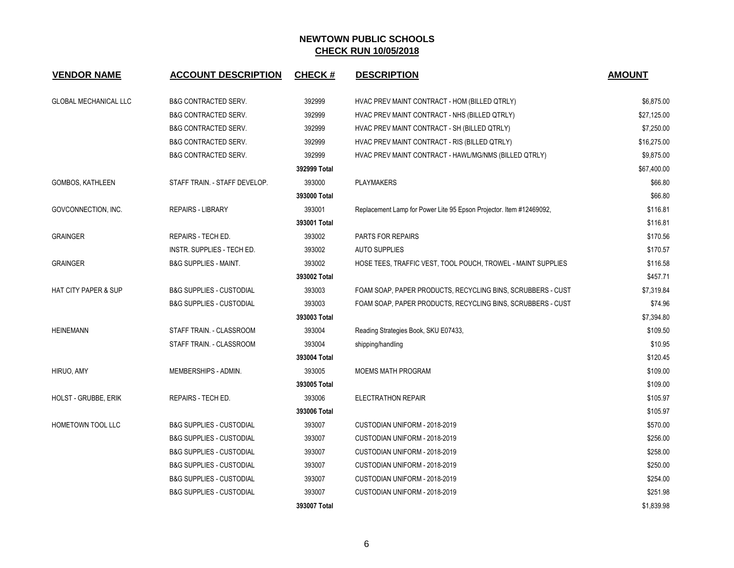| <b>VENDOR NAME</b>              | <b>ACCOUNT DESCRIPTION</b>          | <b>CHECK#</b> | <b>DESCRIPTION</b>                                                  | <b>AMOUNT</b> |
|---------------------------------|-------------------------------------|---------------|---------------------------------------------------------------------|---------------|
| <b>GLOBAL MECHANICAL LLC</b>    | <b>B&amp;G CONTRACTED SERV.</b>     | 392999        | HVAC PREV MAINT CONTRACT - HOM (BILLED QTRLY)                       | \$6,875.00    |
|                                 | <b>B&amp;G CONTRACTED SERV.</b>     | 392999        | HVAC PREV MAINT CONTRACT - NHS (BILLED QTRLY)                       | \$27,125.00   |
|                                 | <b>B&amp;G CONTRACTED SERV.</b>     | 392999        | HVAC PREV MAINT CONTRACT - SH (BILLED QTRLY)                        | \$7,250.00    |
|                                 | <b>B&amp;G CONTRACTED SERV.</b>     | 392999        | HVAC PREV MAINT CONTRACT - RIS (BILLED QTRLY)                       | \$16,275.00   |
|                                 | <b>B&amp;G CONTRACTED SERV.</b>     | 392999        | HVAC PREV MAINT CONTRACT - HAWL/MG/NMS (BILLED QTRLY)               | \$9,875.00    |
|                                 |                                     | 392999 Total  |                                                                     | \$67,400.00   |
| GOMBOS, KATHLEEN                | STAFF TRAIN. - STAFF DEVELOP.       | 393000        | <b>PLAYMAKERS</b>                                                   | \$66.80       |
|                                 |                                     | 393000 Total  |                                                                     | \$66.80       |
| GOVCONNECTION, INC.             | <b>REPAIRS - LIBRARY</b>            | 393001        | Replacement Lamp for Power Lite 95 Epson Projector. Item #12469092, | \$116.81      |
|                                 |                                     | 393001 Total  |                                                                     | \$116.81      |
| <b>GRAINGER</b>                 | REPAIRS - TECH ED.                  | 393002        | PARTS FOR REPAIRS                                                   | \$170.56      |
|                                 | <b>INSTR. SUPPLIES - TECH ED.</b>   | 393002        | <b>AUTO SUPPLIES</b>                                                | \$170.57      |
| <b>GRAINGER</b>                 | <b>B&amp;G SUPPLIES - MAINT.</b>    | 393002        | HOSE TEES, TRAFFIC VEST, TOOL POUCH, TROWEL - MAINT SUPPLIES        | \$116.58      |
|                                 |                                     | 393002 Total  |                                                                     | \$457.71      |
| <b>HAT CITY PAPER &amp; SUP</b> | <b>B&amp;G SUPPLIES - CUSTODIAL</b> | 393003        | FOAM SOAP, PAPER PRODUCTS, RECYCLING BINS, SCRUBBERS - CUST         | \$7,319.84    |
|                                 | <b>B&amp;G SUPPLIES - CUSTODIAL</b> | 393003        | FOAM SOAP, PAPER PRODUCTS, RECYCLING BINS, SCRUBBERS - CUST         | \$74.96       |
|                                 |                                     | 393003 Total  |                                                                     | \$7,394.80    |
| <b>HEINEMANN</b>                | STAFF TRAIN. - CLASSROOM            | 393004        | Reading Strategies Book, SKU E07433,                                | \$109.50      |
|                                 | STAFF TRAIN. - CLASSROOM            | 393004        | shipping/handling                                                   | \$10.95       |
|                                 |                                     | 393004 Total  |                                                                     | \$120.45      |
| HIRUO, AMY                      | MEMBERSHIPS - ADMIN.                | 393005        | <b>MOEMS MATH PROGRAM</b>                                           | \$109.00      |
|                                 |                                     | 393005 Total  |                                                                     | \$109.00      |
| <b>HOLST - GRUBBE, ERIK</b>     | REPAIRS - TECH ED.                  | 393006        | <b>ELECTRATHON REPAIR</b>                                           | \$105.97      |
|                                 |                                     | 393006 Total  |                                                                     | \$105.97      |
| HOMETOWN TOOL LLC               | <b>B&amp;G SUPPLIES - CUSTODIAL</b> | 393007        | CUSTODIAN UNIFORM - 2018-2019                                       | \$570.00      |
|                                 | <b>B&amp;G SUPPLIES - CUSTODIAL</b> | 393007        | CUSTODIAN UNIFORM - 2018-2019                                       | \$256.00      |
|                                 | <b>B&amp;G SUPPLIES - CUSTODIAL</b> | 393007        | CUSTODIAN UNIFORM - 2018-2019                                       | \$258.00      |
|                                 | <b>B&amp;G SUPPLIES - CUSTODIAL</b> | 393007        | CUSTODIAN UNIFORM - 2018-2019                                       | \$250.00      |
|                                 | <b>B&amp;G SUPPLIES - CUSTODIAL</b> | 393007        | CUSTODIAN UNIFORM - 2018-2019                                       | \$254.00      |
|                                 | <b>B&amp;G SUPPLIES - CUSTODIAL</b> | 393007        | CUSTODIAN UNIFORM - 2018-2019                                       | \$251.98      |
|                                 |                                     | 393007 Total  |                                                                     | \$1,839.98    |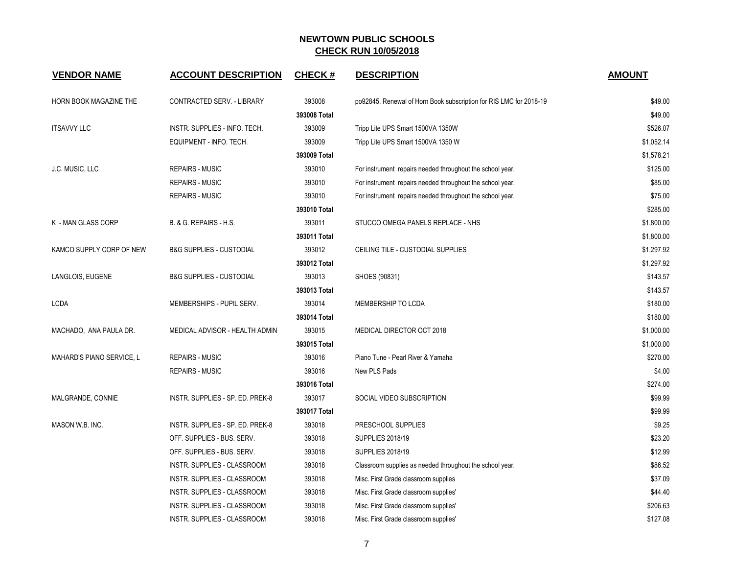| <b>VENDOR NAME</b>        | <b>ACCOUNT DESCRIPTION</b>          | <b>CHECK#</b> | <b>DESCRIPTION</b>                                                 | <b>AMOUNT</b> |
|---------------------------|-------------------------------------|---------------|--------------------------------------------------------------------|---------------|
| HORN BOOK MAGAZINE THE    | CONTRACTED SERV. - LIBRARY          | 393008        | po92845. Renewal of Horn Book subscription for RIS LMC for 2018-19 | \$49.00       |
|                           |                                     | 393008 Total  |                                                                    | \$49.00       |
| <b>ITSAVVY LLC</b>        | INSTR. SUPPLIES - INFO. TECH.       | 393009        | Tripp Lite UPS Smart 1500VA 1350W                                  | \$526.07      |
|                           | EQUIPMENT - INFO. TECH.             | 393009        | Tripp Lite UPS Smart 1500VA 1350 W                                 | \$1,052.14    |
|                           |                                     | 393009 Total  |                                                                    | \$1,578.21    |
| J.C. MUSIC, LLC           | <b>REPAIRS - MUSIC</b>              | 393010        | For instrument repairs needed throughout the school year.          | \$125.00      |
|                           | <b>REPAIRS - MUSIC</b>              | 393010        | For instrument repairs needed throughout the school year.          | \$85.00       |
|                           | <b>REPAIRS - MUSIC</b>              | 393010        | For instrument repairs needed throughout the school year.          | \$75.00       |
|                           |                                     | 393010 Total  |                                                                    | \$285.00      |
| K - MAN GLASS CORP        | B. & G. REPAIRS - H.S.              | 393011        | STUCCO OMEGA PANELS REPLACE - NHS                                  | \$1,800.00    |
|                           |                                     | 393011 Total  |                                                                    | \$1,800.00    |
| KAMCO SUPPLY CORP OF NEW  | <b>B&amp;G SUPPLIES - CUSTODIAL</b> | 393012        | CEILING TILE - CUSTODIAL SUPPLIES                                  | \$1,297.92    |
|                           |                                     | 393012 Total  |                                                                    | \$1,297.92    |
| LANGLOIS, EUGENE          | <b>B&amp;G SUPPLIES - CUSTODIAL</b> | 393013        | SHOES (90831)                                                      | \$143.57      |
|                           |                                     | 393013 Total  |                                                                    | \$143.57      |
| <b>LCDA</b>               | MEMBERSHIPS - PUPIL SERV.           | 393014        | MEMBERSHIP TO LCDA                                                 | \$180.00      |
|                           |                                     | 393014 Total  |                                                                    | \$180.00      |
| MACHADO, ANA PAULA DR.    | MEDICAL ADVISOR - HEALTH ADMIN      | 393015        | MEDICAL DIRECTOR OCT 2018                                          | \$1,000.00    |
|                           |                                     | 393015 Total  |                                                                    | \$1,000.00    |
| MAHARD'S PIANO SERVICE, L | <b>REPAIRS - MUSIC</b>              | 393016        | Piano Tune - Pearl River & Yamaha                                  | \$270.00      |
|                           | <b>REPAIRS - MUSIC</b>              | 393016        | New PLS Pads                                                       | \$4.00        |
|                           |                                     | 393016 Total  |                                                                    | \$274.00      |
| MALGRANDE, CONNIE         | INSTR. SUPPLIES - SP. ED. PREK-8    | 393017        | SOCIAL VIDEO SUBSCRIPTION                                          | \$99.99       |
|                           |                                     | 393017 Total  |                                                                    | \$99.99       |
| MASON W.B. INC.           | INSTR. SUPPLIES - SP. ED. PREK-8    | 393018        | PRESCHOOL SUPPLIES                                                 | \$9.25        |
|                           | OFF. SUPPLIES - BUS. SERV.          | 393018        | <b>SUPPLIES 2018/19</b>                                            | \$23.20       |
|                           | OFF. SUPPLIES - BUS. SERV.          | 393018        | <b>SUPPLIES 2018/19</b>                                            | \$12.99       |
|                           | INSTR. SUPPLIES - CLASSROOM         | 393018        | Classroom supplies as needed throughout the school year.           | \$86.52       |
|                           | INSTR. SUPPLIES - CLASSROOM         | 393018        | Misc. First Grade classroom supplies                               | \$37.09       |
|                           | INSTR. SUPPLIES - CLASSROOM         | 393018        | Misc. First Grade classroom supplies'                              | \$44.40       |
|                           | INSTR. SUPPLIES - CLASSROOM         | 393018        | Misc. First Grade classroom supplies'                              | \$206.63      |
|                           | INSTR. SUPPLIES - CLASSROOM         | 393018        | Misc. First Grade classroom supplies'                              | \$127.08      |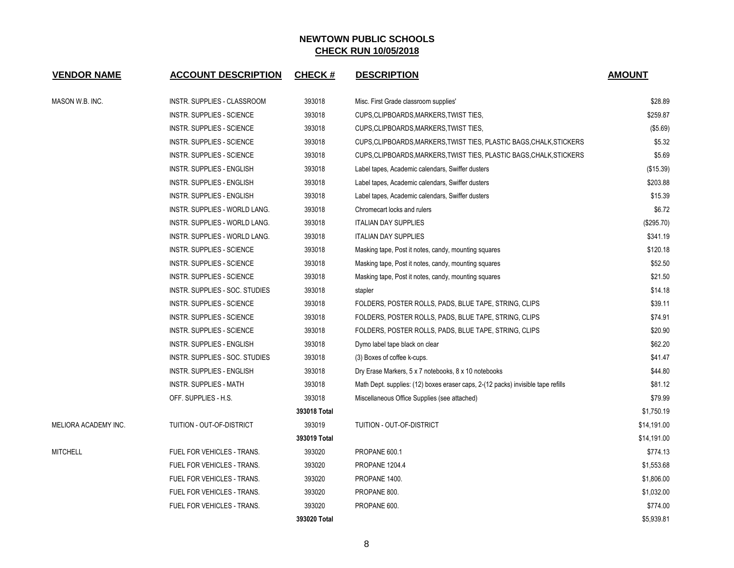| <b>VENDOR NAME</b>   | <b>ACCOUNT DESCRIPTION</b>       | <b>CHECK#</b> | <b>DESCRIPTION</b>                                                               | <b>AMOUNT</b> |
|----------------------|----------------------------------|---------------|----------------------------------------------------------------------------------|---------------|
| MASON W.B. INC.      | INSTR. SUPPLIES - CLASSROOM      | 393018        | Misc. First Grade classroom supplies'                                            | \$28.89       |
|                      | <b>INSTR. SUPPLIES - SCIENCE</b> | 393018        | CUPS.CLIPBOARDS, MARKERS, TWIST TIES,                                            | \$259.87      |
|                      | <b>INSTR. SUPPLIES - SCIENCE</b> | 393018        | CUPS, CLIPBOARDS, MARKERS, TWIST TIES,                                           | (\$5.69)      |
|                      | <b>INSTR. SUPPLIES - SCIENCE</b> | 393018        | CUPS, CLIPBOARDS, MARKERS, TWIST TIES, PLASTIC BAGS, CHALK, STICKERS             | \$5.32        |
|                      | INSTR. SUPPLIES - SCIENCE        | 393018        | CUPS, CLIPBOARDS, MARKERS, TWIST TIES, PLASTIC BAGS, CHALK, STICKERS             | \$5.69        |
|                      | <b>INSTR. SUPPLIES - ENGLISH</b> | 393018        | Label tapes, Academic calendars, Swiffer dusters                                 | (\$15.39)     |
|                      | INSTR. SUPPLIES - ENGLISH        | 393018        | Label tapes, Academic calendars, Swiffer dusters                                 | \$203.88      |
|                      | <b>INSTR. SUPPLIES - ENGLISH</b> | 393018        | Label tapes, Academic calendars, Swiffer dusters                                 | \$15.39       |
|                      | INSTR. SUPPLIES - WORLD LANG.    | 393018        | Chromecart locks and rulers                                                      | \$6.72        |
|                      | INSTR. SUPPLIES - WORLD LANG.    | 393018        | <b>ITALIAN DAY SUPPLIES</b>                                                      | (\$295.70)    |
|                      | INSTR. SUPPLIES - WORLD LANG.    | 393018        | <b>ITALIAN DAY SUPPLIES</b>                                                      | \$341.19      |
|                      | INSTR. SUPPLIES - SCIENCE        | 393018        | Masking tape, Post it notes, candy, mounting squares                             | \$120.18      |
|                      | <b>INSTR. SUPPLIES - SCIENCE</b> | 393018        | Masking tape, Post it notes, candy, mounting squares                             | \$52.50       |
|                      | INSTR. SUPPLIES - SCIENCE        | 393018        | Masking tape, Post it notes, candy, mounting squares                             | \$21.50       |
|                      | INSTR. SUPPLIES - SOC. STUDIES   | 393018        | stapler                                                                          | \$14.18       |
|                      | <b>INSTR. SUPPLIES - SCIENCE</b> | 393018        | FOLDERS, POSTER ROLLS, PADS, BLUE TAPE, STRING, CLIPS                            | \$39.11       |
|                      | <b>INSTR. SUPPLIES - SCIENCE</b> | 393018        | FOLDERS, POSTER ROLLS, PADS, BLUE TAPE, STRING, CLIPS                            | \$74.91       |
|                      | <b>INSTR. SUPPLIES - SCIENCE</b> | 393018        | FOLDERS, POSTER ROLLS, PADS, BLUE TAPE, STRING, CLIPS                            | \$20.90       |
|                      | INSTR. SUPPLIES - ENGLISH        | 393018        | Dymo label tape black on clear                                                   | \$62.20       |
|                      | INSTR. SUPPLIES - SOC. STUDIES   | 393018        | (3) Boxes of coffee k-cups.                                                      | \$41.47       |
|                      | <b>INSTR. SUPPLIES - ENGLISH</b> | 393018        | Dry Erase Markers, 5 x 7 notebooks, 8 x 10 notebooks                             | \$44.80       |
|                      | <b>INSTR. SUPPLIES - MATH</b>    | 393018        | Math Dept. supplies: (12) boxes eraser caps, 2-(12 packs) invisible tape refills | \$81.12       |
|                      | OFF. SUPPLIES - H.S.             | 393018        | Miscellaneous Office Supplies (see attached)                                     | \$79.99       |
|                      |                                  | 393018 Total  |                                                                                  | \$1,750.19    |
| MELIORA ACADEMY INC. | TUITION - OUT-OF-DISTRICT        | 393019        | TUITION - OUT-OF-DISTRICT                                                        | \$14,191.00   |
|                      |                                  | 393019 Total  |                                                                                  | \$14,191.00   |
| <b>MITCHELL</b>      | FUEL FOR VEHICLES - TRANS.       | 393020        | PROPANE 600.1                                                                    | \$774.13      |
|                      | FUEL FOR VEHICLES - TRANS.       | 393020        | <b>PROPANE 1204.4</b>                                                            | \$1,553.68    |
|                      | FUEL FOR VEHICLES - TRANS.       | 393020        | PROPANE 1400.                                                                    | \$1,806.00    |
|                      | FUEL FOR VEHICLES - TRANS.       | 393020        | PROPANE 800.                                                                     | \$1,032.00    |
|                      | FUEL FOR VEHICLES - TRANS.       | 393020        | PROPANE 600.                                                                     | \$774.00      |
|                      |                                  | 393020 Total  |                                                                                  | \$5,939.81    |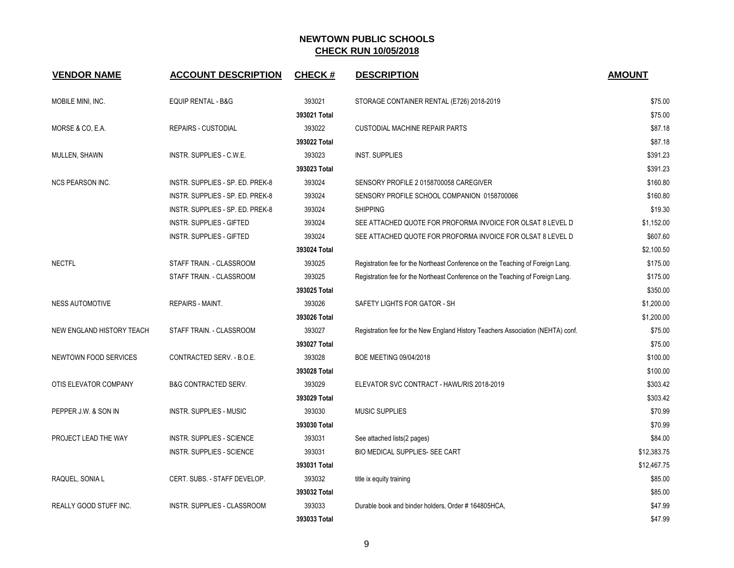| <b>VENDOR NAME</b>        | <b>ACCOUNT DESCRIPTION</b>       | <b>CHECK#</b> | <b>DESCRIPTION</b>                                                              | <b>AMOUNT</b> |
|---------------------------|----------------------------------|---------------|---------------------------------------------------------------------------------|---------------|
| MOBILE MINI, INC.         | <b>EQUIP RENTAL - B&amp;G</b>    | 393021        | STORAGE CONTAINER RENTAL (E726) 2018-2019                                       | \$75.00       |
|                           |                                  | 393021 Total  |                                                                                 | \$75.00       |
| MORSE & CO, E.A.          | <b>REPAIRS - CUSTODIAL</b>       | 393022        | <b>CUSTODIAL MACHINE REPAIR PARTS</b>                                           | \$87.18       |
|                           |                                  | 393022 Total  |                                                                                 | \$87.18       |
| MULLEN, SHAWN             | INSTR. SUPPLIES - C.W.E.         | 393023        | <b>INST. SUPPLIES</b>                                                           | \$391.23      |
|                           |                                  | 393023 Total  |                                                                                 | \$391.23      |
| <b>NCS PEARSON INC.</b>   | INSTR. SUPPLIES - SP. ED. PREK-8 | 393024        | SENSORY PROFILE 2 0158700058 CAREGIVER                                          | \$160.80      |
|                           | INSTR. SUPPLIES - SP. ED. PREK-8 | 393024        | SENSORY PROFILE SCHOOL COMPANION 0158700066                                     | \$160.80      |
|                           | INSTR. SUPPLIES - SP. ED. PREK-8 | 393024        | <b>SHIPPING</b>                                                                 | \$19.30       |
|                           | <b>INSTR. SUPPLIES - GIFTED</b>  | 393024        | SEE ATTACHED QUOTE FOR PROFORMA INVOICE FOR OLSAT 8 LEVEL D                     | \$1,152.00    |
|                           | <b>INSTR. SUPPLIES - GIFTED</b>  | 393024        | SEE ATTACHED QUOTE FOR PROFORMA INVOICE FOR OLSAT 8 LEVEL D                     | \$607.60      |
|                           |                                  | 393024 Total  |                                                                                 | \$2,100.50    |
| <b>NECTFL</b>             | STAFF TRAIN. - CLASSROOM         | 393025        | Registration fee for the Northeast Conference on the Teaching of Foreign Lang.  | \$175.00      |
|                           | STAFF TRAIN. - CLASSROOM         | 393025        | Registration fee for the Northeast Conference on the Teaching of Foreign Lang.  | \$175.00      |
|                           |                                  | 393025 Total  |                                                                                 | \$350.00      |
| <b>NESS AUTOMOTIVE</b>    | <b>REPAIRS - MAINT.</b>          | 393026        | SAFETY LIGHTS FOR GATOR - SH                                                    | \$1,200.00    |
|                           |                                  | 393026 Total  |                                                                                 | \$1,200.00    |
| NEW ENGLAND HISTORY TEACH | STAFF TRAIN. - CLASSROOM         | 393027        | Registration fee for the New England History Teachers Association (NEHTA) conf. | \$75.00       |
|                           |                                  | 393027 Total  |                                                                                 | \$75.00       |
| NEWTOWN FOOD SERVICES     | CONTRACTED SERV. - B.O.E.        | 393028        | BOE MEETING 09/04/2018                                                          | \$100.00      |
|                           |                                  | 393028 Total  |                                                                                 | \$100.00      |
| OTIS ELEVATOR COMPANY     | <b>B&amp;G CONTRACTED SERV.</b>  | 393029        | ELEVATOR SVC CONTRACT - HAWL/RIS 2018-2019                                      | \$303.42      |
|                           |                                  | 393029 Total  |                                                                                 | \$303.42      |
| PEPPER J.W. & SON IN      | <b>INSTR. SUPPLIES - MUSIC</b>   | 393030        | <b>MUSIC SUPPLIES</b>                                                           | \$70.99       |
|                           |                                  | 393030 Total  |                                                                                 | \$70.99       |
| PROJECT LEAD THE WAY      | <b>INSTR. SUPPLIES - SCIENCE</b> | 393031        | See attached lists(2 pages)                                                     | \$84.00       |
|                           | INSTR. SUPPLIES - SCIENCE        | 393031        | BIO MEDICAL SUPPLIES- SEE CART                                                  | \$12,383.75   |
|                           |                                  | 393031 Total  |                                                                                 | \$12,467.75   |
| RAQUEL, SONIA L           | CERT. SUBS. - STAFF DEVELOP.     | 393032        | title ix equity training                                                        | \$85.00       |
|                           |                                  | 393032 Total  |                                                                                 | \$85.00       |
| REALLY GOOD STUFF INC.    | INSTR. SUPPLIES - CLASSROOM      | 393033        | Durable book and binder holders, Order #164805HCA,                              | \$47.99       |
|                           |                                  | 393033 Total  |                                                                                 | \$47.99       |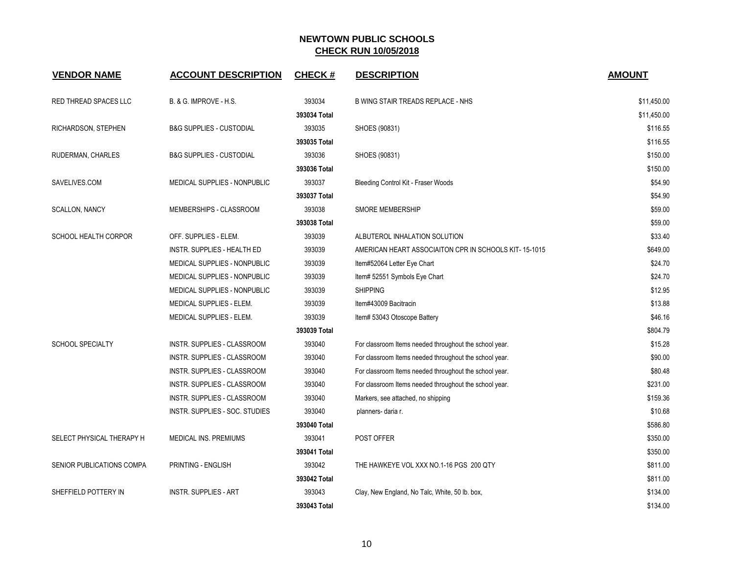| <b>VENDOR NAME</b>        | <b>ACCOUNT DESCRIPTION</b>          | <b>CHECK#</b> | <b>DESCRIPTION</b>                                     | <b>AMOUNT</b> |
|---------------------------|-------------------------------------|---------------|--------------------------------------------------------|---------------|
| RED THREAD SPACES LLC     | B. & G. IMPROVE - H.S.              | 393034        | B WING STAIR TREADS REPLACE - NHS                      | \$11,450.00   |
|                           |                                     | 393034 Total  |                                                        | \$11,450.00   |
| RICHARDSON, STEPHEN       | <b>B&amp;G SUPPLIES - CUSTODIAL</b> | 393035        | SHOES (90831)                                          | \$116.55      |
|                           |                                     | 393035 Total  |                                                        | \$116.55      |
| RUDERMAN, CHARLES         | <b>B&amp;G SUPPLIES - CUSTODIAL</b> | 393036        | SHOES (90831)                                          | \$150.00      |
|                           |                                     | 393036 Total  |                                                        | \$150.00      |
| SAVELIVES.COM             | MEDICAL SUPPLIES - NONPUBLIC        | 393037        | Bleeding Control Kit - Fraser Woods                    | \$54.90       |
|                           |                                     | 393037 Total  |                                                        | \$54.90       |
| <b>SCALLON, NANCY</b>     | MEMBERSHIPS - CLASSROOM             | 393038        | <b>SMORE MEMBERSHIP</b>                                | \$59.00       |
|                           |                                     | 393038 Total  |                                                        | \$59.00       |
| SCHOOL HEALTH CORPOR      | OFF. SUPPLIES - ELEM.               | 393039        | ALBUTEROL INHALATION SOLUTION                          | \$33.40       |
|                           | <b>INSTR. SUPPLIES - HEALTH ED</b>  | 393039        | AMERICAN HEART ASSOCIAITON CPR IN SCHOOLS KIT-15-1015  | \$649.00      |
|                           | MEDICAL SUPPLIES - NONPUBLIC        | 393039        | Item#52064 Letter Eye Chart                            | \$24.70       |
|                           | MEDICAL SUPPLIES - NONPUBLIC        | 393039        | Item# 52551 Symbols Eye Chart                          | \$24.70       |
|                           | MEDICAL SUPPLIES - NONPUBLIC        | 393039        | <b>SHIPPING</b>                                        | \$12.95       |
|                           | MEDICAL SUPPLIES - ELEM.            | 393039        | Item#43009 Bacitracin                                  | \$13.88       |
|                           | MEDICAL SUPPLIES - ELEM.            | 393039        | Item# 53043 Otoscope Battery                           | \$46.16       |
|                           |                                     | 393039 Total  |                                                        | \$804.79      |
| <b>SCHOOL SPECIALTY</b>   | INSTR. SUPPLIES - CLASSROOM         | 393040        | For classroom Items needed throughout the school year. | \$15.28       |
|                           | INSTR. SUPPLIES - CLASSROOM         | 393040        | For classroom Items needed throughout the school year. | \$90.00       |
|                           | INSTR. SUPPLIES - CLASSROOM         | 393040        | For classroom Items needed throughout the school year. | \$80.48       |
|                           | INSTR. SUPPLIES - CLASSROOM         | 393040        | For classroom Items needed throughout the school year. | \$231.00      |
|                           | INSTR. SUPPLIES - CLASSROOM         | 393040        | Markers, see attached, no shipping                     | \$159.36      |
|                           | INSTR. SUPPLIES - SOC. STUDIES      | 393040        | planners- daria r.                                     | \$10.68       |
|                           |                                     | 393040 Total  |                                                        | \$586.80      |
| SELECT PHYSICAL THERAPY H | <b>MEDICAL INS. PREMIUMS</b>        | 393041        | <b>POST OFFER</b>                                      | \$350.00      |
|                           |                                     | 393041 Total  |                                                        | \$350.00      |
| SENIOR PUBLICATIONS COMPA | PRINTING - ENGLISH                  | 393042        | THE HAWKEYE VOL XXX NO.1-16 PGS 200 QTY                | \$811.00      |
|                           |                                     | 393042 Total  |                                                        | \$811.00      |
| SHEFFIELD POTTERY IN      | <b>INSTR. SUPPLIES - ART</b>        | 393043        | Clay, New England, No Talc, White, 50 lb. box,         | \$134.00      |
|                           |                                     | 393043 Total  |                                                        | \$134.00      |